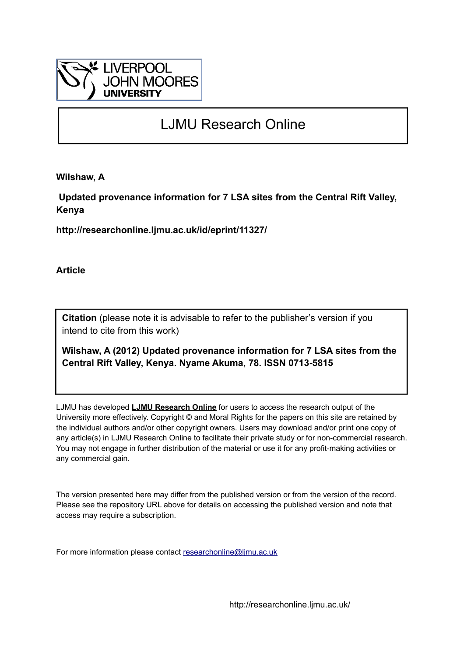

## LJMU Research Online

**Wilshaw, A**

 **Updated provenance information for 7 LSA sites from the Central Rift Valley, Kenya**

**http://researchonline.ljmu.ac.uk/id/eprint/11327/**

**Article**

**Citation** (please note it is advisable to refer to the publisher's version if you intend to cite from this work)

**Wilshaw, A (2012) Updated provenance information for 7 LSA sites from the Central Rift Valley, Kenya. Nyame Akuma, 78. ISSN 0713-5815** 

LJMU has developed **[LJMU Research Online](http://researchonline.ljmu.ac.uk/)** for users to access the research output of the University more effectively. Copyright © and Moral Rights for the papers on this site are retained by the individual authors and/or other copyright owners. Users may download and/or print one copy of any article(s) in LJMU Research Online to facilitate their private study or for non-commercial research. You may not engage in further distribution of the material or use it for any profit-making activities or any commercial gain.

The version presented here may differ from the published version or from the version of the record. Please see the repository URL above for details on accessing the published version and note that access may require a subscription.

For more information please contact [researchonline@ljmu.ac.uk](mailto:researchonline@ljmu.ac.uk)

http://researchonline.ljmu.ac.uk/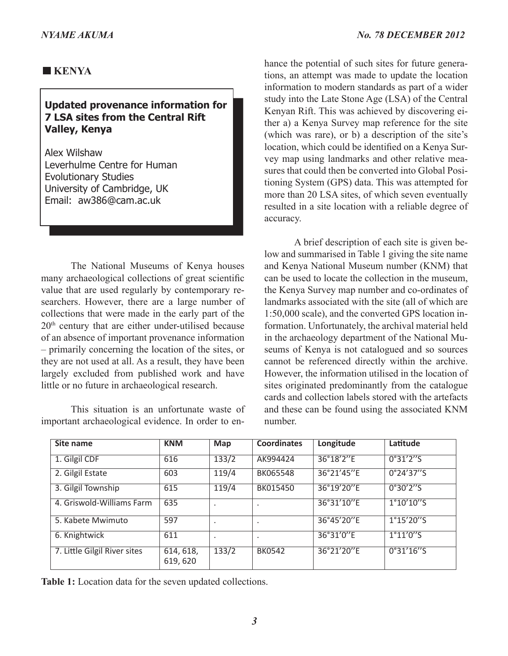## **KENYA**

## **Updated provenance information for 7 LSA sites from the Central Rift Valley, Kenya**

Alex Wilshaw Leverhulme Centre for Human Evolutionary Studies University of Cambridge, UK Email: aw386@cam.ac.uk

The National Museums of Kenya houses many archaeological collections of great scientific value that are used regularly by contemporary researchers. However, there are a large number of collections that were made in the early part of the  $20<sup>th</sup>$  century that are either under-utilised because of an absence of important provenance information – primarily concerning the location of the sites, or they are not used at all. As a result, they have been largely excluded from published work and have little or no future in archaeological research.

This situation is an unfortunate waste of important archaeological evidence. In order to enhance the potential of such sites for future generations, an attempt was made to update the location information to modern standards as part of a wider study into the Late Stone Age (LSA) of the Central Kenyan Rift. This was achieved by discovering either a) a Kenya Survey map reference for the site (which was rare), or b) a description of the site's location, which could be identified on a Kenya Survey map using landmarks and other relative measures that could then be converted into Global Positioning System (GPS) data. This was attempted for more than 20 LSA sites, of which seven eventually resulted in a site location with a reliable degree of accuracy.

A brief description of each site is given below and summarised in Table 1 giving the site name and Kenya National Museum number (KNM) that can be used to locate the collection in the museum, the Kenya Survey map number and co-ordinates of landmarks associated with the site (all of which are 1:50,000 scale), and the converted GPS location information. Unfortunately, the archival material held in the archaeology department of the National Museums of Kenya is not catalogued and so sources cannot be referenced directly within the archive. However, the information utilised in the location of sites originated predominantly from the catalogue cards and collection labels stored with the artefacts and these can be found using the associated KNM number.

| Site name                    | <b>KNM</b>            | Map     | <b>Coordinates</b> | Longitude  | Latitude   |
|------------------------------|-----------------------|---------|--------------------|------------|------------|
| 1. Gilgil CDF                | 616                   | 133/2   | AK994424           | 36°18'2"E  | 0°31'2''5  |
| 2. Gilgil Estate             | 603                   | 119/4   | BK065548           | 36°21'45"E | 0°24'37''5 |
| 3. Gilgil Township           | 615                   | 119/4   | BK015450           | 36°19'20"E | 0°30'2''5  |
| 4. Griswold-Williams Farm    | 635                   | $\cdot$ | $\blacksquare$     | 36°31'10"E | 1°10'10''5 |
| 5. Kabete Mwimuto            | 597                   | $\cdot$ | $\bullet$          | 36°45'20"E | 1°15'20''5 |
| 6. Knightwick                | 611                   | $\cdot$ | $\cdot$            | 36°31'0"E  | 1°11'0''S  |
| 7. Little Gilgil River sites | 614, 618,<br>619, 620 | 133/2   | <b>BK0542</b>      | 36°21'20"E | 0°31'16''S |

**Table 1:** Location data for the seven updated collections.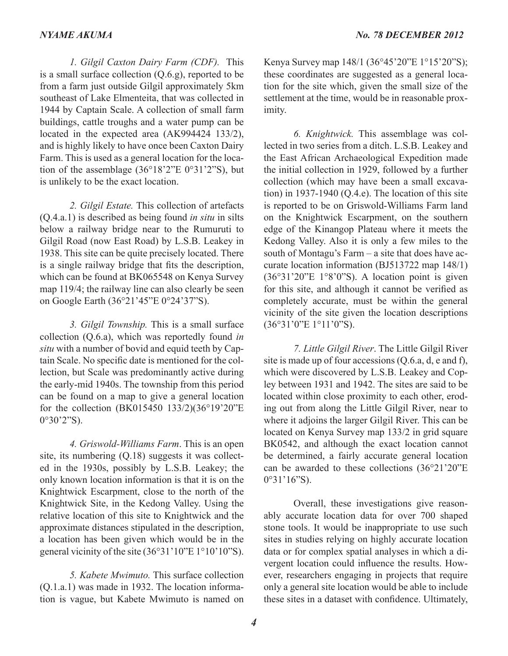*1. Gilgil Caxton Dairy Farm (CDF).* This is a small surface collection (Q.6.g), reported to be from a farm just outside Gilgil approximately 5km southeast of Lake Elmenteita, that was collected in 1944 by Captain Scale. A collection of small farm buildings, cattle troughs and a water pump can be located in the expected area (AK994424 133/2), and is highly likely to have once been Caxton Dairy Farm. This is used as a general location for the location of the assemblage  $(36^{\circ}18'2''E 0^{\circ}31'2''S)$ , but is unlikely to be the exact location.

*2. Gilgil Estate.* This collection of artefacts (Q.4.a.1) is described as being found *in situ* in silts below a railway bridge near to the Rumuruti to Gilgil Road (now East Road) by L.S.B. Leakey in 1938. This site can be quite precisely located. There is a single railway bridge that fits the description, which can be found at BK065548 on Kenya Survey map 119/4; the railway line can also clearly be seen on Google Earth (36°21'45"E 0°24'37"S).

*3. Gilgil Township.* This is a small surface collection (Q.6.a), which was reportedly found *in situ* with a number of bovid and equid teeth by Captain Scale. No specific date is mentioned for the collection, but Scale was predominantly active during the early-mid 1940s. The township from this period can be found on a map to give a general location for the collection (BK015450 133/2)(36°19'20"E 0°30'2"S).

*4. Griswold-Williams Farm*. This is an open site, its numbering (Q.18) suggests it was collected in the 1930s, possibly by L.S.B. Leakey; the only known location information is that it is on the Knightwick Escarpment, close to the north of the Knightwick Site, in the Kedong Valley. Using the relative location of this site to Knightwick and the approximate distances stipulated in the description, a location has been given which would be in the general vicinity of the site (36°31'10"E 1°10'10"S).

*5. Kabete Mwimuto.* This surface collection (Q.1.a.1) was made in 1932. The location information is vague, but Kabete Mwimuto is named on

Kenya Survey map 148/1 (36°45'20"E 1°15'20"S); these coordinates are suggested as a general location for the site which, given the small size of the settlement at the time, would be in reasonable proximity.

*6. Knightwick.* This assemblage was collected in two series from a ditch. L.S.B. Leakey and the East African Archaeological Expedition made the initial collection in 1929, followed by a further collection (which may have been a small excavation) in 1937-1940 (Q.4.e). The location of this site is reported to be on Griswold-Williams Farm land on the Knightwick Escarpment, on the southern edge of the Kinangop Plateau where it meets the Kedong Valley. Also it is only a few miles to the south of Montagu's Farm – a site that does have accurate location information (BJ513722 map 148/1)  $(36°31'20"E 1°8'0"S)$ . A location point is given for this site, and although it cannot be verified as completely accurate, must be within the general vicinity of the site given the location descriptions (36°31'0"E 1°11'0"S).

*7. Little Gilgil River*. The Little Gilgil River site is made up of four accessions (Q.6.a, d, e and f), which were discovered by L.S.B. Leakey and Copley between 1931 and 1942. The sites are said to be located within close proximity to each other, eroding out from along the Little Gilgil River, near to where it adjoins the larger Gilgil River. This can be located on Kenya Survey map 133/2 in grid square BK0542, and although the exact location cannot be determined, a fairly accurate general location can be awarded to these collections (36°21'20"E 0°31'16"S).

Overall, these investigations give reasonably accurate location data for over 700 shaped stone tools. It would be inappropriate to use such sites in studies relying on highly accurate location data or for complex spatial analyses in which a divergent location could influence the results. However, researchers engaging in projects that require only a general site location would be able to include these sites in a dataset with confidence. Ultimately,